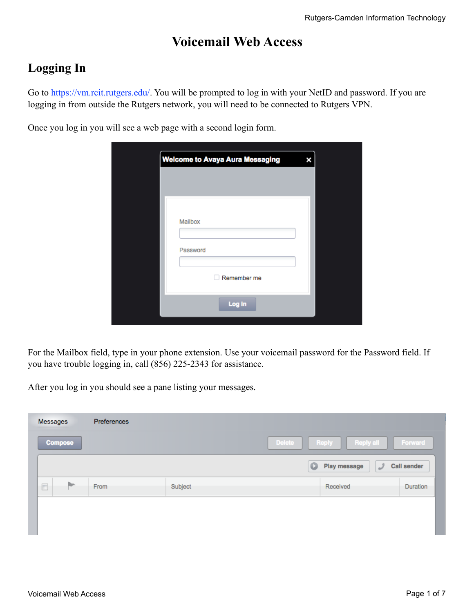## **Voicemail Web Access**

## **Logging In**

Go to [https://vm.rcit.rutgers.edu/.](https://vm.rcit.rutgers.edu/) You will be prompted to log in with your NetID and password. If you are logging in from outside the Rutgers network, you will need to be connected to Rutgers VPN.

Once you log in you will see a web page with a second login form.

| <b>Welcome to Avaya Aura Messaging</b> | × |
|----------------------------------------|---|
|                                        |   |
|                                        |   |
|                                        |   |
| Mailbox                                |   |
| Password                               |   |
|                                        |   |
| Remember me                            |   |
|                                        |   |
| Log in                                 |   |

For the Mailbox field, type in your phone extension. Use your voicemail password for the Password field. If you have trouble logging in, call (856) 225-2343 for assistance.

After you log in you should see a pane listing your messages.

|  |                | Messages | Preferences |         |                                            |                    |
|--|----------------|----------|-------------|---------|--------------------------------------------|--------------------|
|  | <b>Compose</b> |          |             |         | <b>Reply all</b><br><b>Delete</b><br>Reply | Forward            |
|  |                |          |             |         | Play message<br>$\circ$<br>لى              | <b>Call sender</b> |
|  | $\Box$         |          | From        | Subject | Received                                   | <b>Duration</b>    |
|  |                |          |             |         |                                            |                    |
|  |                |          |             |         |                                            |                    |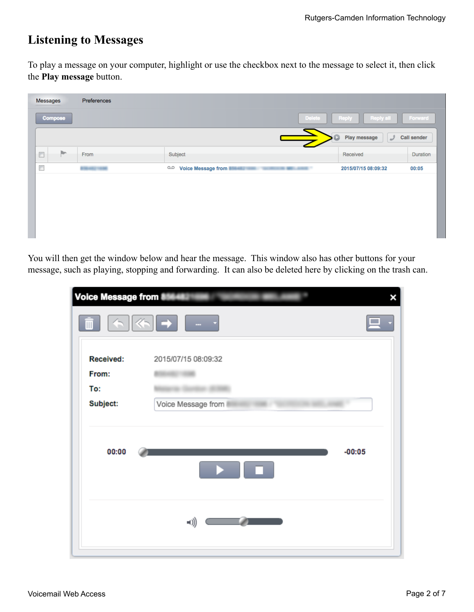## **Listening to Messages**

To play a message on your computer, highlight or use the checkbox next to the message to select it, then click the **Play message** button.

| Messages                 |                | Preferences                  |                                     |                        |                    |
|--------------------------|----------------|------------------------------|-------------------------------------|------------------------|--------------------|
|                          | <b>Compose</b> |                              | <b>Delete</b>                       | Reply all<br>Reply     | Forward            |
|                          |                |                              |                                     | Play message<br>ر<br>D | <b>Call sender</b> |
| $\Box$                   | Þ              | From                         | Subject                             | Received               | Duration           |
| $\overline{\phantom{a}}$ |                | <b><i>Bridge Address</i></b> | $\circ$<br>Voice Message from<br>-- | 2015/07/15 08:09:32    | 00:05              |
|                          |                |                              |                                     |                        |                    |
|                          |                |                              |                                     |                        |                    |
|                          |                |                              |                                     |                        |                    |
|                          |                |                              |                                     |                        |                    |
|                          |                |                              |                                     |                        |                    |

You will then get the window below and hear the message. This window also has other buttons for your message, such as playing, stopping and forwarding. It can also be deleted here by clicking on the trash can.

| Voice Message from |                     |
|--------------------|---------------------|
| Ш                  | ▐▕▕▏▓▖▌▅▕▕▏▃▁▗      |
| <b>Received:</b>   | 2015/07/15 08:09:32 |
| From:              |                     |
| To:                |                     |
| Subject:           | Voice Message from  |
| 00:00              | $-00:05$            |
|                    | =())                |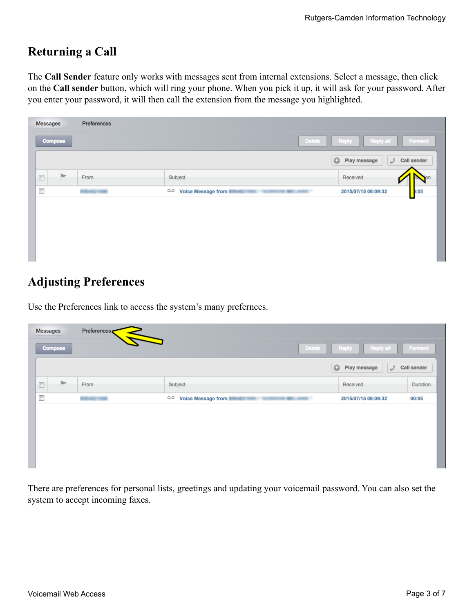# **Returning a Call**

The **Call Sender** feature only works with messages sent from internal extensions. Select a message, then click on the **Call sender** button, which will ring your phone. When you pick it up, it will ask for your password. After you enter your password, it will then call the extension from the message you highlighted.

|                            | <b>Delete</b>                                                            | <b>Reply all</b><br>Reply<br>Forward                 |
|----------------------------|--------------------------------------------------------------------------|------------------------------------------------------|
|                            |                                                                          | $\bullet$<br>Play message<br><b>Call sender</b><br>ر |
| From                       | Subject                                                                  | Received                                             |
| <b><i>BON AND THEM</i></b> | $\circ$<br><b>Voice Message from</b><br>the series areas of<br>ARD THEFT | :05<br>2015/07/15 08:09:32                           |
|                            |                                                                          |                                                      |

## **Adjusting Preferences**

Use the Preferences link to access the system's many prefernces.

| Messages                 | <b>Compose</b> | Preferences<br>$\blacktriangleright$ | <b>Delete</b>                                             | Reply all<br>Reply             | Forward            |
|--------------------------|----------------|--------------------------------------|-----------------------------------------------------------|--------------------------------|--------------------|
|                          |                |                                      |                                                           | $\circ$<br>Play message<br>لمد | <b>Call sender</b> |
| $\Box$                   | Þ              | From                                 | Subject                                                   | Received                       | Duration           |
| $\overline{\phantom{a}}$ |                | <b><i>BONARD VAND</i></b>            | $\infty$<br>Voice Message from<br><b>COLORADO ANGELES</b> | 2015/07/15 08:09:32            | 00:05              |
|                          |                |                                      |                                                           |                                |                    |
|                          |                |                                      |                                                           |                                |                    |
|                          |                |                                      |                                                           |                                |                    |
|                          |                |                                      |                                                           |                                |                    |
|                          |                |                                      |                                                           |                                |                    |

There are preferences for personal lists, greetings and updating your voicemail password. You can also set the system to accept incoming faxes.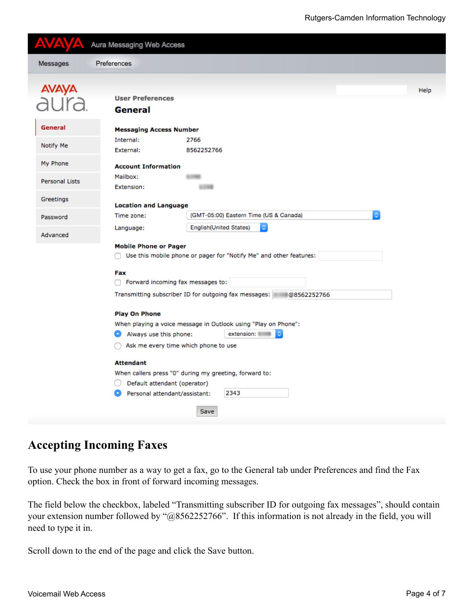|                       | Aura Messaging Web Access                                            |      |
|-----------------------|----------------------------------------------------------------------|------|
| Messages              | Preferences                                                          |      |
| <b>AVAYA</b><br>aura. | <b>User Preferences</b>                                              | Help |
|                       | General                                                              |      |
| General               | <b>Messaging Access Number</b>                                       |      |
|                       | Internal:<br>2766                                                    |      |
| Notify Me             | External:<br>8562252766                                              |      |
| My Phone              | <b>Account Information</b>                                           |      |
|                       | Mailbox:                                                             |      |
| <b>Personal Lists</b> | Extension:                                                           |      |
| Greetings             | <b>Location and Language</b>                                         |      |
| Password              | $\mathbb{C}$<br>(GMT-05:00) Eastern Time (US & Canada)<br>Time zone: |      |
| Advanced              | <b>English</b> (United States)<br>Language:                          |      |
|                       | <b>Mobile Phone or Pager</b>                                         |      |
|                       | Use this mobile phone or pager for "Notify Me" and other features:   |      |
|                       | Fax                                                                  |      |
|                       | Forward incoming fax messages to:                                    |      |
|                       | Transmitting subscriber ID for outgoing fax messages:<br>@8562252766 |      |
|                       | <b>Play On Phone</b>                                                 |      |
|                       | When playing a voice message in Outlook using "Play on Phone":       |      |
|                       | extension:<br>Always use this phone:                                 |      |
|                       | Ask me every time which phone to use                                 |      |
|                       | <b>Attendant</b>                                                     |      |
|                       | When callers press "0" during my greeting, forward to:               |      |
|                       | Default attendant (operator)                                         |      |
|                       | 2343<br>Personal attendant/assistant:<br>o                           |      |
|                       | Save                                                                 |      |

#### **Accepting Incoming Faxes**

To use your phone number as a way to get a fax, go to the General tab under Preferences and find the Fax option. Check the box in front of forward incoming messages.

The field below the checkbox, labeled "Transmitting subscriber ID for outgoing fax messages", should contain your extension number followed by "@8562252766". If this information is not already in the field, you will need to type it in.

Scroll down to the end of the page and click the Save button.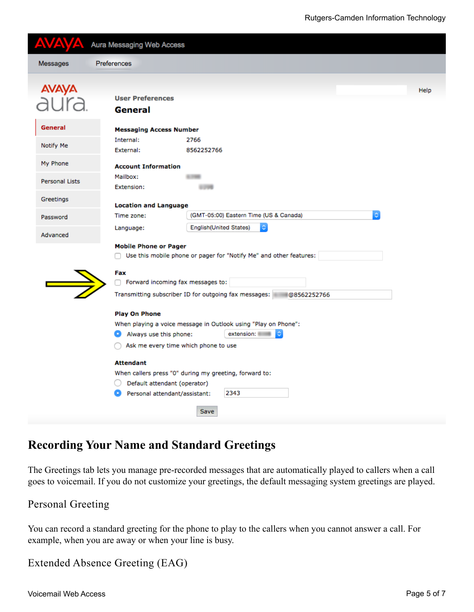| Δ                     | Aura Messaging Web Access                                                                          |                                                                                                                            |      |  |  |  |  |
|-----------------------|----------------------------------------------------------------------------------------------------|----------------------------------------------------------------------------------------------------------------------------|------|--|--|--|--|
| Messages              | Preferences                                                                                        |                                                                                                                            |      |  |  |  |  |
| AVAYA<br>aura         | <b>User Preferences</b><br>General                                                                 |                                                                                                                            | Help |  |  |  |  |
| General               | <b>Messaging Access Number</b>                                                                     |                                                                                                                            |      |  |  |  |  |
| Notify Me             | Internal:<br>External:                                                                             | 2766<br>8562252766                                                                                                         |      |  |  |  |  |
| My Phone              | <b>Account Information</b>                                                                         |                                                                                                                            |      |  |  |  |  |
| <b>Personal Lists</b> | Mailbox:<br>Extension:                                                                             |                                                                                                                            |      |  |  |  |  |
| Greetings             | <b>Location and Language</b>                                                                       |                                                                                                                            |      |  |  |  |  |
| Password              | ۰<br>(GMT-05:00) Eastern Time (US & Canada)<br>Time zone:                                          |                                                                                                                            |      |  |  |  |  |
| Advanced              | Language:                                                                                          | <b>English</b> (United States)<br>$\mathbb{C}$                                                                             |      |  |  |  |  |
|                       | <b>Mobile Phone or Pager</b><br>Use this mobile phone or pager for "Notify Me" and other features: |                                                                                                                            |      |  |  |  |  |
|                       | Fax<br>Forward incoming fax messages to:                                                           |                                                                                                                            |      |  |  |  |  |
|                       |                                                                                                    | Transmitting subscriber ID for outgoing fax messages: @8562252766                                                          |      |  |  |  |  |
|                       | <b>Play On Phone</b><br>Always use this phone:<br>o                                                | When playing a voice message in Outlook using "Play on Phone":<br>extension:<br>G.<br>Ask me every time which phone to use |      |  |  |  |  |
|                       | <b>Attendant</b><br>Default attendant (operator)<br>Personal attendant/assistant:                  | When callers press "0" during my greeting, forward to:<br>2343                                                             |      |  |  |  |  |
|                       |                                                                                                    | Save                                                                                                                       |      |  |  |  |  |

### **Recording Your Name and Standard Greetings**

The Greetings tab lets you manage pre-recorded messages that are automatically played to callers when a call goes to voicemail. If you do not customize your greetings, the default messaging system greetings are played.

#### Personal Greeting

You can record a standard greeting for the phone to play to the callers when you cannot answer a call. For example, when you are away or when your line is busy.

```
Extended Absence Greeting (EAG)
```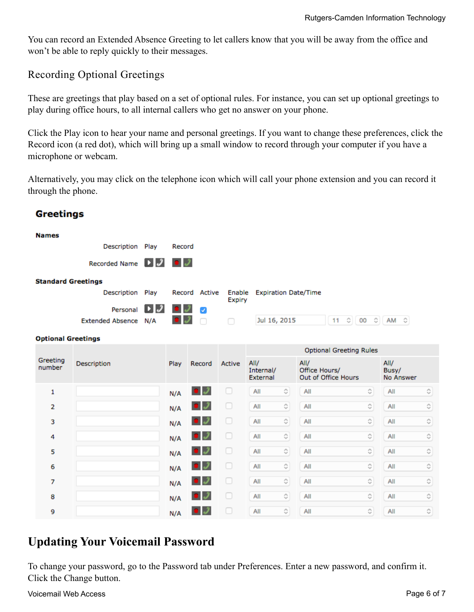You can record an Extended Absence Greeting to let callers know that you will be away from the office and won't be able to reply quickly to their messages.

#### Recording Optional Greetings

These are greetings that play based on a set of optional rules. For instance, you can set up optional greetings to play during office hours, to all internal callers who get no answer on your phone.

Click the Play icon to hear your name and personal greetings. If you want to change these preferences, click the Record icon (a red dot), which will bring up a small window to record through your computer if you have a microphone or webcam.

Alternatively, you may click on the telephone icon which will call your phone extension and you can record it through the phone.

| <b>Names</b>              |                      |     |        |                  |                         |                                |                                                   |                                              |                                                   |                            |                    |
|---------------------------|----------------------|-----|--------|------------------|-------------------------|--------------------------------|---------------------------------------------------|----------------------------------------------|---------------------------------------------------|----------------------------|--------------------|
|                           | Description Play     |     | Record |                  |                         |                                |                                                   |                                              |                                                   |                            |                    |
|                           | Recorded Name $\Box$ |     | 0 J    |                  |                         |                                |                                                   |                                              |                                                   |                            |                    |
| <b>Standard Greetings</b> |                      |     |        |                  |                         |                                |                                                   |                                              |                                                   |                            |                    |
|                           | Description Play     |     |        | Record Active    | Enable<br><b>Expiry</b> |                                |                                                   | <b>Expiration Date/Time</b>                  |                                                   |                            |                    |
|                           | Personal             | ▸ ∂ |        | J                |                         |                                |                                                   |                                              |                                                   |                            |                    |
|                           | Extended Absence N/A |     |        |                  | ∩                       |                                | Jul 16, 2015                                      | 11                                           | $\circ$ 00 $\circ$ $\circ$ $\sim$ $\sim$          |                            |                    |
| <b>Optional Greetings</b> |                      |     |        |                  |                         |                                |                                                   |                                              |                                                   |                            |                    |
|                           |                      |     |        |                  |                         | <b>Optional Greeting Rules</b> |                                                   |                                              |                                                   |                            |                    |
| Greeting<br>number        | Description          |     | Play   | Record           | Active                  | All/<br>Internal/<br>External  |                                                   | All/<br>Office Hours/<br>Out of Office Hours |                                                   | All/<br>Busy/<br>No Answer |                    |
| 1                         |                      |     | N/A    | עב               | U                       | All                            | $\Diamond$                                        | All                                          | $\Diamond$                                        | All                        | ≎                  |
| 2                         |                      |     | N/A    | I                | 0                       | All                            | $\stackrel{\scriptstyle\wedge}{\scriptstyle\vee}$ | All                                          | ≎                                                 | All                        | ≎                  |
| з                         |                      |     | N/A    | J J              | O                       | All                            | $\hat{\mathcal{L}}$                               | All                                          | $\stackrel{\scriptstyle\wedge}{\scriptstyle\vee}$ | All                        | ¢,                 |
| 4                         |                      |     | N/A    | ПJ               | O                       | All                            | $\stackrel{\scriptstyle\wedge}{\scriptstyle\vee}$ | All                                          | $\stackrel{\scriptstyle\wedge}{\scriptstyle\vee}$ | All                        | $\Diamond$         |
| 5                         |                      |     | N/A    | I                | 0                       | All                            | $\stackrel{\scriptstyle\wedge}{\scriptstyle\vee}$ | All                                          | $\stackrel{\scriptstyle\wedge}{\scriptstyle\vee}$ | All                        | ¢                  |
| 6                         |                      |     | N/A    | $\boldsymbol{J}$ | O                       | All                            | $\stackrel{\scriptstyle\wedge}{\scriptstyle\vee}$ | All                                          | ♦                                                 | All                        | ≎                  |
| 7                         |                      |     | N/A    |                  | u                       | All                            | $\stackrel{\scriptstyle\wedge}{\scriptstyle\vee}$ | All                                          | $\stackrel{\scriptstyle\wedge}{\scriptstyle\vee}$ | All                        | ≎                  |
| 8                         |                      |     | N/A    |                  | o                       | All                            | $\stackrel{\scriptstyle\wedge}{\scriptstyle\vee}$ | All                                          | $\stackrel{\scriptstyle\wedge}{\scriptstyle\vee}$ | All                        | ≎                  |
| 9                         |                      |     | N/A    |                  | u                       | All                            | $\stackrel{\scriptstyle\wedge}{\scriptstyle\vee}$ | All                                          | $\hat{\mathcal{C}}$                               | All                        | $\hat{\mathbf{v}}$ |

#### **Greetings**

### **Updating Your Voicemail Password**

To change your password, go to the Password tab under Preferences. Enter a new password, and confirm it. Click the Change button.